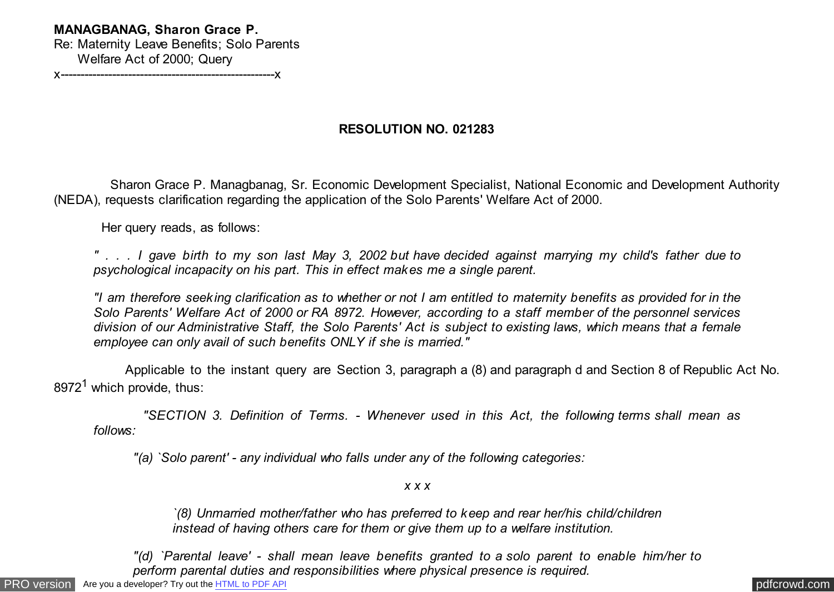## **MANAGBANAG, Sharon Grace P.**

Re: Maternity Leave Benefits; Solo Parents Welfare Act of 2000; Query

x------------------------------------------------------x

## **RESOLUTION NO. 021283**

 Sharon Grace P. Managbanag, Sr. Economic Development Specialist, National Economic and Development Authority (NEDA), requests clarification regarding the application of the Solo Parents' Welfare Act of 2000.

Her query reads, as follows:

*" . . . I gave birth to my son last May 3, 2002 but have decided against marrying my child's father due to psychological incapacity on his part. This in effect makes me a single parent.*

*"I am therefore seeking clarification as to whether or not I am entitled to maternity benefits as provided for in the Solo Parents' Welfare Act of 2000 or RA 8972. However, according to a staff member of the personnel services division of our Administrative Staff, the Solo Parents' Act is subject to existing laws, which means that a female employee can only avail of such benefits ONLY if she is married."*

 Applicable to the instant query are Section 3, paragraph a (8) and paragraph d and Section 8 of Republic Act No. 8972<sup>1</sup> which provide, thus:

 *"SECTION 3. Definition of Terms. - Whenever used in this Act, the following terms shall mean as follows:*

*"(a) `Solo parent' - any individual who falls under any of the following categories:*

## *x x x*

*`(8) Unmarried mother/father who has preferred to keep and rear her/his child/children instead of having others care for them or give them up to a welfare institution.*

*"(d) `Parental leave' - shall mean leave benefits granted to a solo parent to enable him/her to perform parental duties and responsibilities where physical presence is required.*

[PRO version](http://pdfcrowd.com/customize/) Are you a developer? Try out th[e HTML to PDF API](http://pdfcrowd.com/html-to-pdf-api/?ref=pdf) provided and the example of the HTML to PDF API [pdfcrowd.com](http://pdfcrowd.com)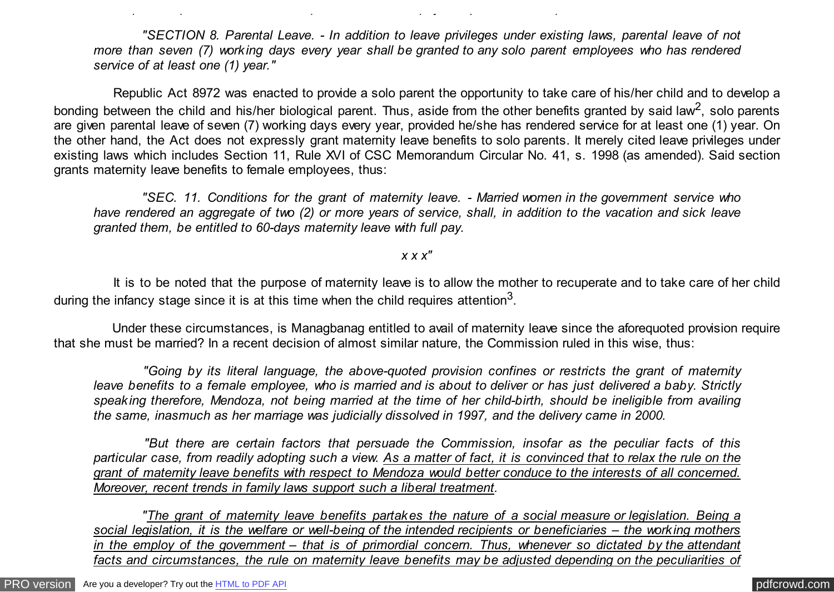*"SECTION 8. Parental Leave. - In addition to leave privileges under existing laws, parental leave of not more than seven (7) working days every year shall be granted to any solo parent employees who has rendered service of at least one (1) year."*

*perform parental duties and responsibilities where physical presence is required.*

 Republic Act 8972 was enacted to provide a solo parent the opportunity to take care of his/her child and to develop a bonding between the child and his/her biological parent. Thus, aside from the other benefits granted by said law<sup>2</sup>, solo parents are given parental leave of seven (7) working days every year, provided he/she has rendered service for at least one (1) year. On the other hand, the Act does not expressly grant maternity leave benefits to solo parents. It merely cited leave privileges under existing laws which includes Section 11, Rule XVI of CSC Memorandum Circular No. 41, s. 1998 (as amended). Said section grants maternity leave benefits to female employees, thus:

 *"SEC. 11. Conditions for the grant of maternity leave. - Married women in the government service who have rendered an aggregate of two (2) or more years of service, shall, in addition to the vacation and sick leave granted them, be entitled to 60-days maternity leave with full pay.*

*x x x"*

 It is to be noted that the purpose of maternity leave is to allow the mother to recuperate and to take care of her child during the infancy stage since it is at this time when the child requires attention<sup>3</sup>.

 Under these circumstances, is Managbanag entitled to avail of maternity leave since the aforequoted provision require that she must be married? In a recent decision of almost similar nature, the Commission ruled in this wise, thus:

 *"Going by its literal language, the above-quoted provision confines or restricts the grant of maternity leave benefits to a female employee, who is married and is about to deliver or has just delivered a baby. Strictly speaking therefore, Mendoza, not being married at the time of her child-birth, should be ineligible from availing the same, inasmuch as her marriage was judicially dissolved in 1997, and the delivery came in 2000.*

 *"But there are certain factors that persuade the Commission, insofar as the peculiar facts of this particular case, from readily adopting such a view. As a matter of fact, it is convinced that to relax the rule on the grant of maternity leave benefits with respect to Mendoza would better conduce to the interests of all concerned. Moreover, recent trends in family laws support such a liberal treatment.*

 *"The grant of maternity leave benefits partakes the nature of a social measure or legislation. Being a social legislation, it is the welfare or well-being of the intended recipients or beneficiaries – the working mothers in the employ of the government – that is of primordial concern. Thus, whenever so dictated by the attendant facts and circumstances, the rule on maternity leave benefits may be adjusted depending on the peculiarities of*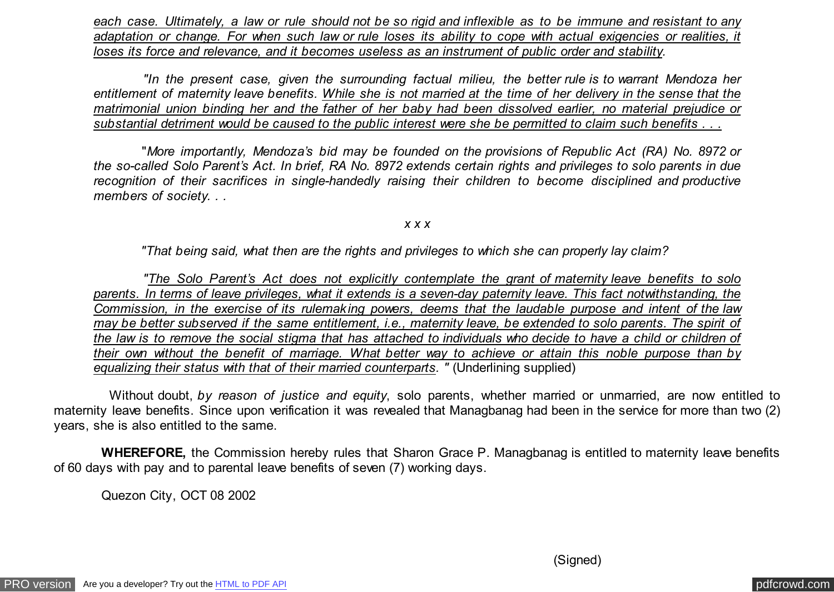*each case. Ultimately, a law or rule should not be so rigid and inflexible as to be immune and resistant to any adaptation or change. For when such law or rule loses its ability to cope with actual exigencies or realities, it loses its force and relevance, and it becomes useless as an instrument of public order and stability.*

 *"In the present case, given the surrounding factual milieu, the better rule is to warrant Mendoza her entitlement of maternity leave benefits. While she is not married at the time of her delivery in the sense that the matrimonial union binding her and the father of her baby had been dissolved earlier, no material prejudice or substantial detriment would be caused to the public interest were she be permitted to claim such benefits . . .*

 "*More importantly, Mendoza's bid may be founded on the provisions of Republic Act (RA) No. 8972 or the so-called Solo Parent's Act. In brief, RA No. 8972 extends certain rights and privileges to solo parents in due recognition of their sacrifices in single-handedly raising their children to become disciplined and productive members of society. . .*

*x x x*

 *"That being said, what then are the rights and privileges to which she can properly lay claim?*

 *"The Solo Parent's Act does not explicitly contemplate the grant of maternity leave benefits to solo parents. In terms of leave privileges, what it extends is a seven-day paternity leave. This fact notwithstanding, the Commission, in the exercise of its rulemaking powers, deems that the laudable purpose and intent of the law may be better subserved if the same entitlement, i.e., maternity leave, be extended to solo parents. The spirit of the law is to remove the social stigma that has attached to individuals who decide to have a child or children of their own without the benefit of marriage. What better way to achieve or attain this noble purpose than by equalizing their status with that of their married counterparts. "* (Underlining supplied)

 Without doubt, *by reason of justice and equity*, solo parents, whether married or unmarried, are now entitled to maternity leave benefits. Since upon verification it was revealed that Managbanag had been in the service for more than two (2) years, she is also entitled to the same.

 **WHEREFORE,** the Commission hereby rules that Sharon Grace P. Managbanag is entitled to maternity leave benefits of 60 days with pay and to parental leave benefits of seven (7) working days.

Quezon City, OCT 08 2002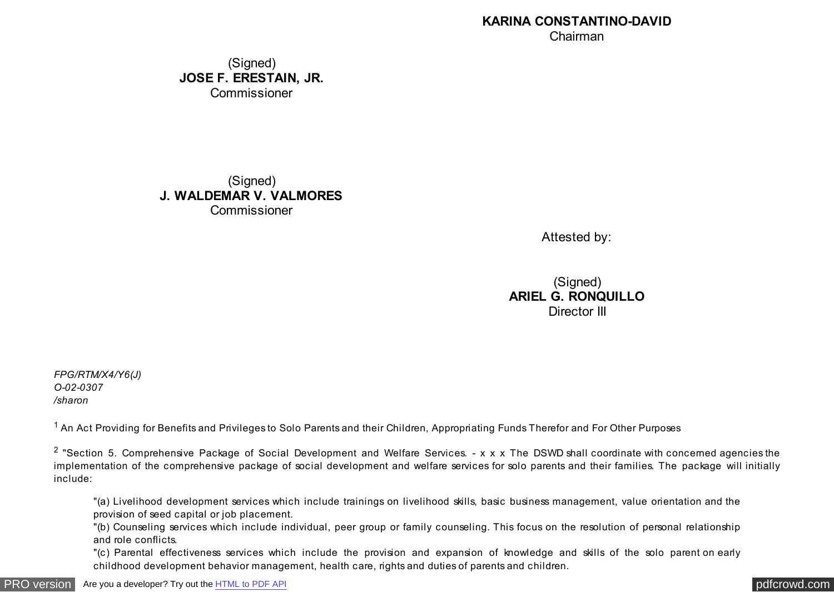## **KARINA CONSTANTINO-DAVID** Chairman

(Signed) **JOSE F. ERESTAIN, JR.** Commissioner

(Signed) **J. WALDEMAR V. VALMORES** Commissioner

Attested by:

(Signed) **ARIEL G. RONQUILLO** Director III

*FPG/RTM/X4/Y6(J) O-02-0307 /sharon*

<sup>1</sup> An Act Providing for Benefits and Privileges to Solo Parents and their Children, Appropriating Funds Therefor and For Other Purposes

<sup>2</sup> "Section 5. Comprehensive Package of Social Development and Welfare Services. - x x x The DSWD shall coordinate with concerned agencies the implementation of the comprehensive package of social development and welfare services for solo parents and their families. The package will initially include:

"(a) Livelihood development services which include trainings on livelihood skills, basic business management, value orientation and the provision of seed capital or job placement.

"(b) Counseling services which include individual, peer group or family counseling. This focus on the resolution of personal relationship and role conflicts.

"(c) Parental effectiveness services which include the provision and expansion of knowledge and skills of the solo parent on early childhood development behavior management, health care, rights and duties of parents and children.